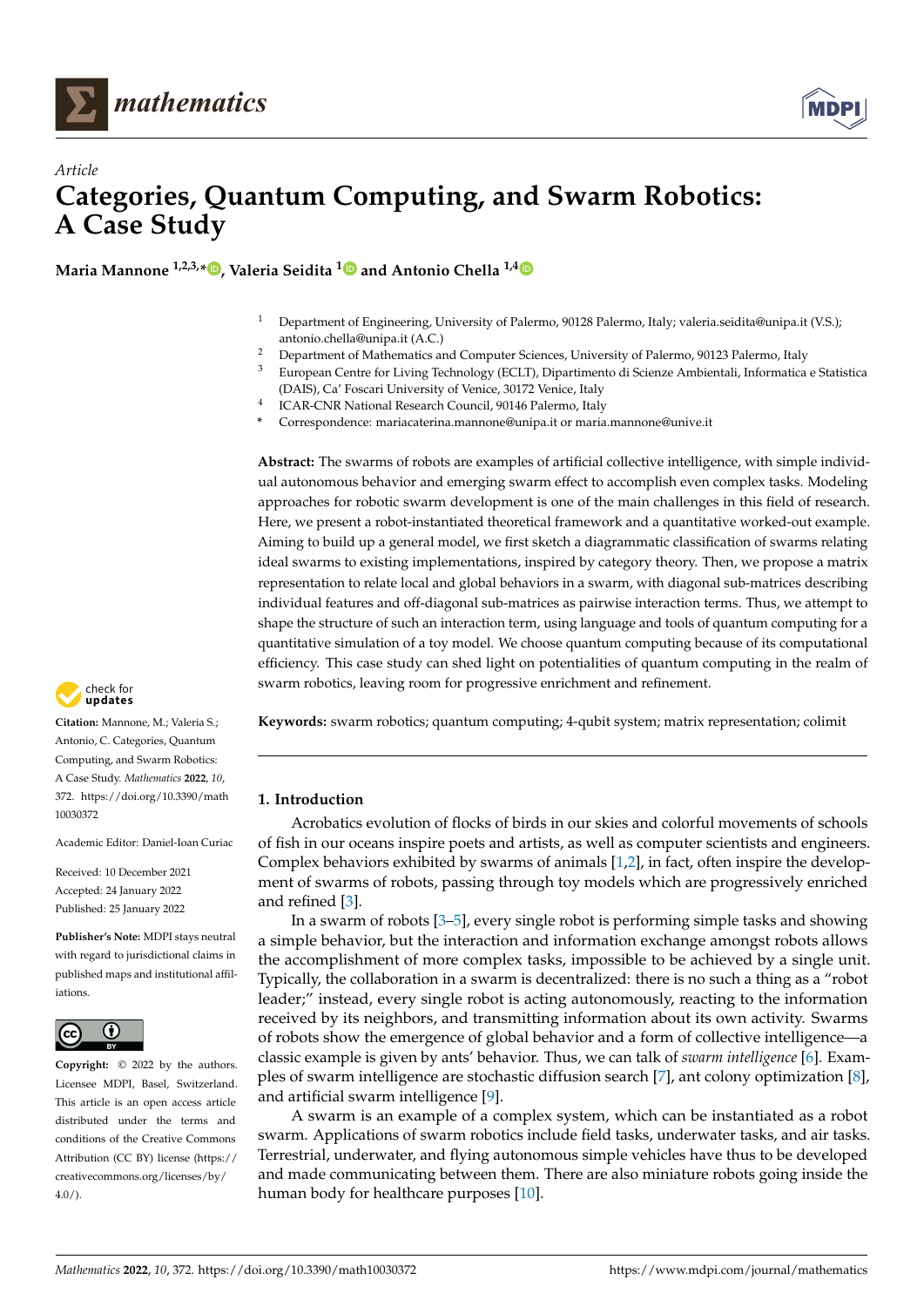



# *Article* **Categories, Quantum Computing, and Swarm Robotics: A Case Study**

**Maria Mannone 1,2,3,\* [,](https://orcid.org/0000-0003-3606-3436) Valeria Seidita [1](https://orcid.org/0000-0002-0601-6914) and Antonio Chella 1,[4](https://orcid.org/0000-0002-8625-708X)**

- <sup>1</sup> Department of Engineering, University of Palermo, 90128 Palermo, Italy; valeria.seidita@unipa.it (V.S.); antonio.chella@unipa.it (A.C.)
- <sup>2</sup> Department of Mathematics and Computer Sciences, University of Palermo, 90123 Palermo, Italy<br><sup>3</sup> European Contra for Living Technology (ECLT). Dinostimento di Science Ambientali, Informatica
- <sup>3</sup> European Centre for Living Technology (ECLT), Dipartimento di Scienze Ambientali, Informatica e Statistica (DAIS), Ca' Foscari University of Venice, 30172 Venice, Italy
- 4 ICAR-CNR National Research Council, 90146 Palermo, Italy
- **\*** Correspondence: mariacaterina.mannone@unipa.it or maria.mannone@unive.it

**Abstract:** The swarms of robots are examples of artificial collective intelligence, with simple individual autonomous behavior and emerging swarm effect to accomplish even complex tasks. Modeling approaches for robotic swarm development is one of the main challenges in this field of research. Here, we present a robot-instantiated theoretical framework and a quantitative worked-out example. Aiming to build up a general model, we first sketch a diagrammatic classification of swarms relating ideal swarms to existing implementations, inspired by category theory. Then, we propose a matrix representation to relate local and global behaviors in a swarm, with diagonal sub-matrices describing individual features and off-diagonal sub-matrices as pairwise interaction terms. Thus, we attempt to shape the structure of such an interaction term, using language and tools of quantum computing for a quantitative simulation of a toy model. We choose quantum computing because of its computational efficiency. This case study can shed light on potentialities of quantum computing in the realm of swarm robotics, leaving room for progressive enrichment and refinement.

**Keywords:** swarm robotics; quantum computing; 4-qubit system; matrix representation; colimit

## **1. Introduction**

Acrobatics evolution of flocks of birds in our skies and colorful movements of schools of fish in our oceans inspire poets and artists, as well as computer scientists and engineers. Complex behaviors exhibited by swarms of animals [\[1,](#page-9-0)[2\]](#page-9-1), in fact, often inspire the development of swarms of robots, passing through toy models which are progressively enriched and refined [\[3\]](#page-9-2).

In a swarm of robots [\[3–](#page-9-2)[5\]](#page-9-3), every single robot is performing simple tasks and showing a simple behavior, but the interaction and information exchange amongst robots allows the accomplishment of more complex tasks, impossible to be achieved by a single unit. Typically, the collaboration in a swarm is decentralized: there is no such a thing as a "robot leader;" instead, every single robot is acting autonomously, reacting to the information received by its neighbors, and transmitting information about its own activity. Swarms of robots show the emergence of global behavior and a form of collective intelligence—a classic example is given by ants' behavior. Thus, we can talk of *swarm intelligence* [\[6\]](#page-9-4). Examples of swarm intelligence are stochastic diffusion search [\[7\]](#page-9-5), ant colony optimization [\[8\]](#page-9-6), and artificial swarm intelligence [\[9\]](#page-9-7).

A swarm is an example of a complex system, which can be instantiated as a robot swarm. Applications of swarm robotics include field tasks, underwater tasks, and air tasks. Terrestrial, underwater, and flying autonomous simple vehicles have thus to be developed and made communicating between them. There are also miniature robots going inside the human body for healthcare purposes [\[10\]](#page-9-8).



**Citation:** Mannone, M.; Valeria S.; Antonio, C. Categories, Quantum Computing, and Swarm Robotics: A Case Study. *Mathematics* **2022**, *10*, 372. [https://doi.org/10.3390/math](https://doi.org/10.3390/math10030372) [10030372](https://doi.org/10.3390/math10030372)

Academic Editor: Daniel-Ioan Curiac

Received: 10 December 2021 Accepted: 24 January 2022 Published: 25 January 2022

**Publisher's Note:** MDPI stays neutral with regard to jurisdictional claims in published maps and institutional affiliations.



**Copyright:** © 2022 by the authors. Licensee MDPI, Basel, Switzerland. This article is an open access article distributed under the terms and conditions of the Creative Commons Attribution (CC BY) license [\(https://](https://creativecommons.org/licenses/by/4.0/) [creativecommons.org/licenses/by/](https://creativecommons.org/licenses/by/4.0/)  $4.0/$ ).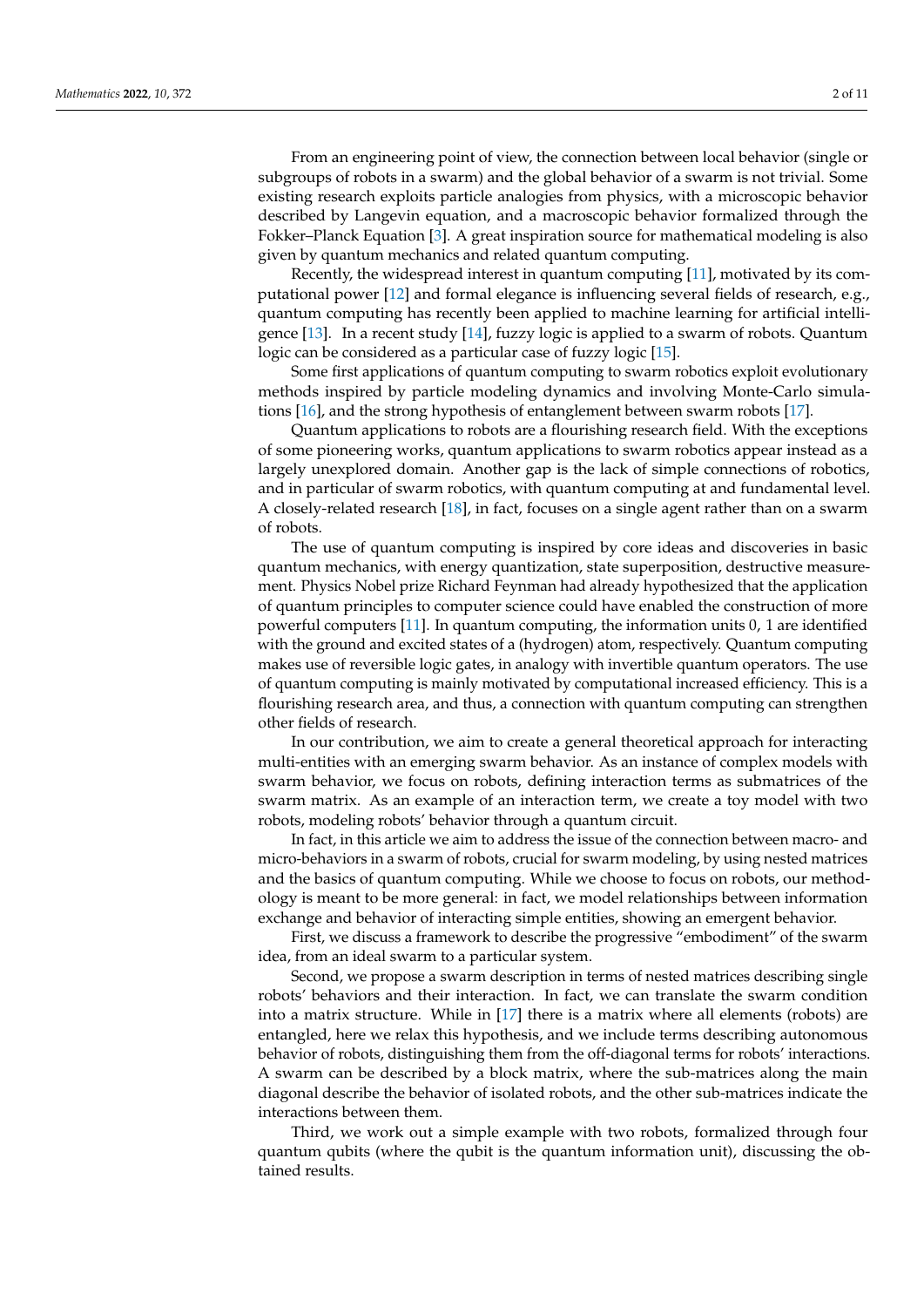From an engineering point of view, the connection between local behavior (single or subgroups of robots in a swarm) and the global behavior of a swarm is not trivial. Some existing research exploits particle analogies from physics, with a microscopic behavior described by Langevin equation, and a macroscopic behavior formalized through the Fokker–Planck Equation [\[3\]](#page-9-2). A great inspiration source for mathematical modeling is also given by quantum mechanics and related quantum computing.

Recently, the widespread interest in quantum computing [\[11\]](#page-9-9), motivated by its computational power [\[12\]](#page-9-10) and formal elegance is influencing several fields of research, e.g., quantum computing has recently been applied to machine learning for artificial intelligence [\[13\]](#page-9-11). In a recent study [\[14\]](#page-9-12), fuzzy logic is applied to a swarm of robots. Quantum logic can be considered as a particular case of fuzzy logic [\[15\]](#page-9-13).

Some first applications of quantum computing to swarm robotics exploit evolutionary methods inspired by particle modeling dynamics and involving Monte-Carlo simulations [\[16\]](#page-10-0), and the strong hypothesis of entanglement between swarm robots [\[17\]](#page-10-1).

Quantum applications to robots are a flourishing research field. With the exceptions of some pioneering works, quantum applications to swarm robotics appear instead as a largely unexplored domain. Another gap is the lack of simple connections of robotics, and in particular of swarm robotics, with quantum computing at and fundamental level. A closely-related research [\[18\]](#page-10-2), in fact, focuses on a single agent rather than on a swarm of robots.

The use of quantum computing is inspired by core ideas and discoveries in basic quantum mechanics, with energy quantization, state superposition, destructive measurement. Physics Nobel prize Richard Feynman had already hypothesized that the application of quantum principles to computer science could have enabled the construction of more powerful computers [\[11\]](#page-9-9). In quantum computing, the information units 0, 1 are identified with the ground and excited states of a (hydrogen) atom, respectively. Quantum computing makes use of reversible logic gates, in analogy with invertible quantum operators. The use of quantum computing is mainly motivated by computational increased efficiency. This is a flourishing research area, and thus, a connection with quantum computing can strengthen other fields of research.

In our contribution, we aim to create a general theoretical approach for interacting multi-entities with an emerging swarm behavior. As an instance of complex models with swarm behavior, we focus on robots, defining interaction terms as submatrices of the swarm matrix. As an example of an interaction term, we create a toy model with two robots, modeling robots' behavior through a quantum circuit.

In fact, in this article we aim to address the issue of the connection between macro- and micro-behaviors in a swarm of robots, crucial for swarm modeling, by using nested matrices and the basics of quantum computing. While we choose to focus on robots, our methodology is meant to be more general: in fact, we model relationships between information exchange and behavior of interacting simple entities, showing an emergent behavior.

First, we discuss a framework to describe the progressive "embodiment" of the swarm idea, from an ideal swarm to a particular system.

Second, we propose a swarm description in terms of nested matrices describing single robots' behaviors and their interaction. In fact, we can translate the swarm condition into a matrix structure. While in [\[17\]](#page-10-1) there is a matrix where all elements (robots) are entangled, here we relax this hypothesis, and we include terms describing autonomous behavior of robots, distinguishing them from the off-diagonal terms for robots' interactions. A swarm can be described by a block matrix, where the sub-matrices along the main diagonal describe the behavior of isolated robots, and the other sub-matrices indicate the interactions between them.

Third, we work out a simple example with two robots, formalized through four quantum qubits (where the qubit is the quantum information unit), discussing the obtained results.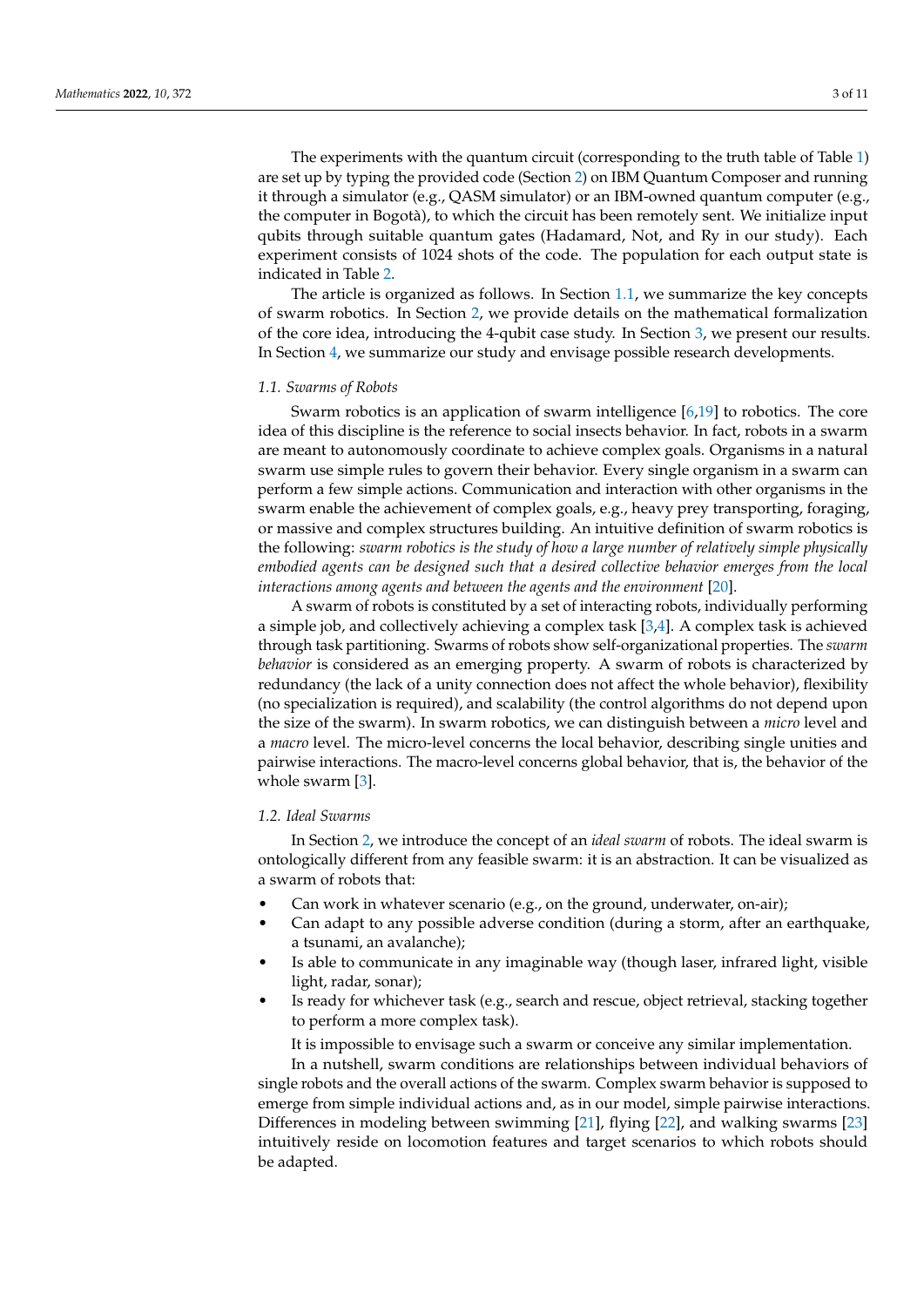The experiments with the quantum circuit (corresponding to the truth table of Table [1\)](#page-5-0) are set up by typing the provided code (Section [2\)](#page-3-0) on IBM Quantum Composer and running it through a simulator (e.g., QASM simulator) or an IBM-owned quantum computer (e.g., the computer in Bogotà), to which the circuit has been remotely sent. We initialize input qubits through suitable quantum gates (Hadamard, Not, and Ry in our study). Each experiment consists of 1024 shots of the code. The population for each output state is indicated in Table [2.](#page-8-0)

The article is organized as follows. In Section [1.1,](#page-2-0) we summarize the key concepts of swarm robotics. In Section [2,](#page-3-0) we provide details on the mathematical formalization of the core idea, introducing the 4-qubit case study. In Section [3,](#page-7-0) we present our results. In Section [4,](#page-8-1) we summarize our study and envisage possible research developments.

#### <span id="page-2-0"></span>*1.1. Swarms of Robots*

Swarm robotics is an application of swarm intelligence [\[6](#page-9-4)[,19\]](#page-10-3) to robotics. The core idea of this discipline is the reference to social insects behavior. In fact, robots in a swarm are meant to autonomously coordinate to achieve complex goals. Organisms in a natural swarm use simple rules to govern their behavior. Every single organism in a swarm can perform a few simple actions. Communication and interaction with other organisms in the swarm enable the achievement of complex goals, e.g., heavy prey transporting, foraging, or massive and complex structures building. An intuitive definition of swarm robotics is the following: *swarm robotics is the study of how a large number of relatively simple physically embodied agents can be designed such that a desired collective behavior emerges from the local interactions among agents and between the agents and the environment* [\[20\]](#page-10-4).

A swarm of robots is constituted by a set of interacting robots, individually performing a simple job, and collectively achieving a complex task [\[3,](#page-9-2)[4\]](#page-9-14). A complex task is achieved through task partitioning. Swarms of robots show self-organizational properties. The *swarm behavior* is considered as an emerging property. A swarm of robots is characterized by redundancy (the lack of a unity connection does not affect the whole behavior), flexibility (no specialization is required), and scalability (the control algorithms do not depend upon the size of the swarm). In swarm robotics, we can distinguish between a *micro* level and a *macro* level. The micro-level concerns the local behavior, describing single unities and pairwise interactions. The macro-level concerns global behavior, that is, the behavior of the whole swarm [\[3\]](#page-9-2).

## <span id="page-2-1"></span>*1.2. Ideal Swarms*

In Section [2,](#page-3-0) we introduce the concept of an *ideal swarm* of robots. The ideal swarm is ontologically different from any feasible swarm: it is an abstraction. It can be visualized as a swarm of robots that:

- Can work in whatever scenario (e.g., on the ground, underwater, on-air);
- Can adapt to any possible adverse condition (during a storm, after an earthquake, a tsunami, an avalanche);
- Is able to communicate in any imaginable way (though laser, infrared light, visible light, radar, sonar);
- Is ready for whichever task (e.g., search and rescue, object retrieval, stacking together to perform a more complex task).

It is impossible to envisage such a swarm or conceive any similar implementation.

In a nutshell, swarm conditions are relationships between individual behaviors of single robots and the overall actions of the swarm. Complex swarm behavior is supposed to emerge from simple individual actions and, as in our model, simple pairwise interactions. Differences in modeling between swimming [\[21\]](#page-10-5), flying [\[22\]](#page-10-6), and walking swarms [\[23\]](#page-10-7) intuitively reside on locomotion features and target scenarios to which robots should be adapted.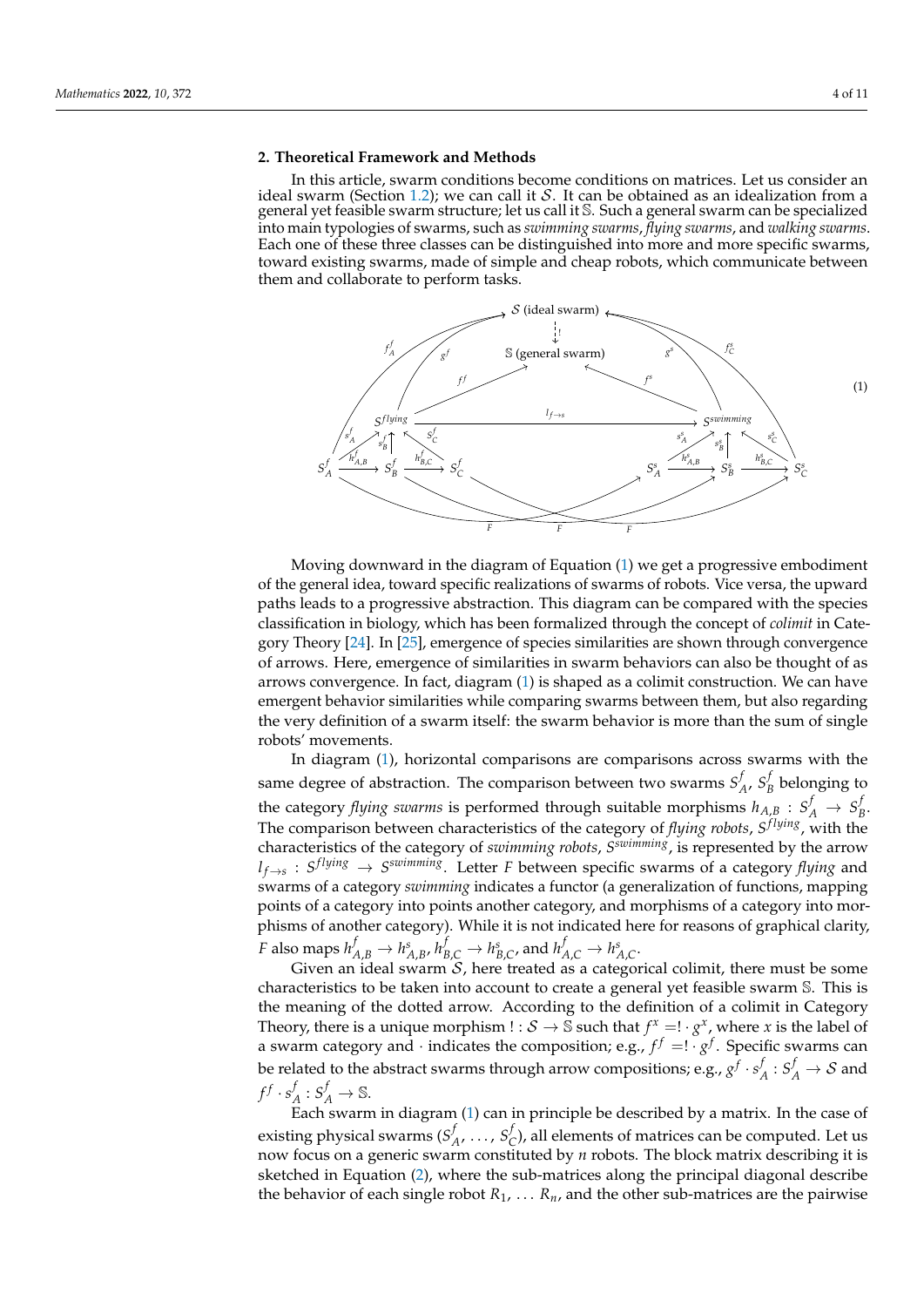#### <span id="page-3-0"></span>**2. Theoretical Framework and Methods**

In this article, swarm conditions become conditions on matrices. Let us consider an ideal swarm (Section [1.2\)](#page-2-1); we can call it  $S$ . It can be obtained as an idealization from a general yet feasible swarm structure; let us call it S. Such a general swarm can be specialized into main typologies of swarms, such as *swimming swarms*, *flying swarms*, and *walking swarms*. Each one of these three classes can be distinguished into more and more specific swarms, toward existing swarms, made of simple and cheap robots, which communicate between them and collaborate to perform tasks.

<span id="page-3-1"></span>

Moving downward in the diagram of Equation [\(1\)](#page-3-1) we get a progressive embodiment of the general idea, toward specific realizations of swarms of robots. Vice versa, the upward paths leads to a progressive abstraction. This diagram can be compared with the species classification in biology, which has been formalized through the concept of *colimit* in Category Theory [\[24\]](#page-10-8). In [\[25\]](#page-10-9), emergence of species similarities are shown through convergence of arrows. Here, emergence of similarities in swarm behaviors can also be thought of as arrows convergence. In fact, diagram [\(1\)](#page-3-1) is shaped as a colimit construction. We can have emergent behavior similarities while comparing swarms between them, but also regarding the very definition of a swarm itself: the swarm behavior is more than the sum of single robots' movements.

In diagram [\(1\)](#page-3-1), horizontal comparisons are comparisons across swarms with the same degree of abstraction. The comparison between two swarms  $S^j$  $A$ <sup>*, S*<sup>*j*</sup><sub>*A*</sub></sup>  $B_B$ <sup> $\prime$ </sup> belonging to the category *flying swarms* is performed through suitable morphisms  $h_{A,B}$  :  $S_A^f \rightarrow S_B^f$ *B* . The comparison between characteristics of the category of *flying robots, S<sup>flying</sup>*, with the characteristics of the category of *swimming robots*, *S swimming*, is represented by the arrow  $l_{f \to s}$  :  $S^{flying} \to S^{swimming}$ . Letter *F* between specific swarms of a category *flying* and swarms of a category *swimming* indicates a functor (a generalization of functions, mapping points of a category into points another category, and morphisms of a category into morphisms of another category). While it is not indicated here for reasons of graphical clarity, F also maps  $h_{A,B}^f\to h_{A,B}^s$ ,  $h_{B,C}^f\to h_{B,C}^s$ , and  $h_{A,C}^f\to h_{A,C}^s$ .

Given an ideal swarm  $S$ , here treated as a categorical colimit, there must be some characteristics to be taken into account to create a general yet feasible swarm S. This is the meaning of the dotted arrow. According to the definition of a colimit in Category Theory, there is a unique morphism ! :  $S \to \tilde{S}$  such that  $f^x = ! \cdot g^x$ , where *x* is the label of a swarm category and  $\cdot$  indicates the composition; e.g.,  $f^f = ! \cdot g^f$ . Specific swarms can be related to the abstract swarms through arrow compositions; e.g.,  $g^f\cdot s^f$  $A^f: S_A^f \rightarrow S$  and  $f^f\cdot s^f$  $A: S_A^f \to \mathbb{S}.$ 

Each swarm in diagram [\(1\)](#page-3-1) can in principle be described by a matrix. In the case of existing physical swarms (*S f A* , . . . , *S f*  $\sigma_C^{\prime}$ ), all elements of matrices can be computed. Let us now focus on a generic swarm constituted by *n* robots. The block matrix describing it is sketched in Equation [\(2\)](#page-4-0), where the sub-matrices along the principal diagonal describe the behavior of each single robot  $R_1$ , ...  $R_n$ , and the other sub-matrices are the pairwise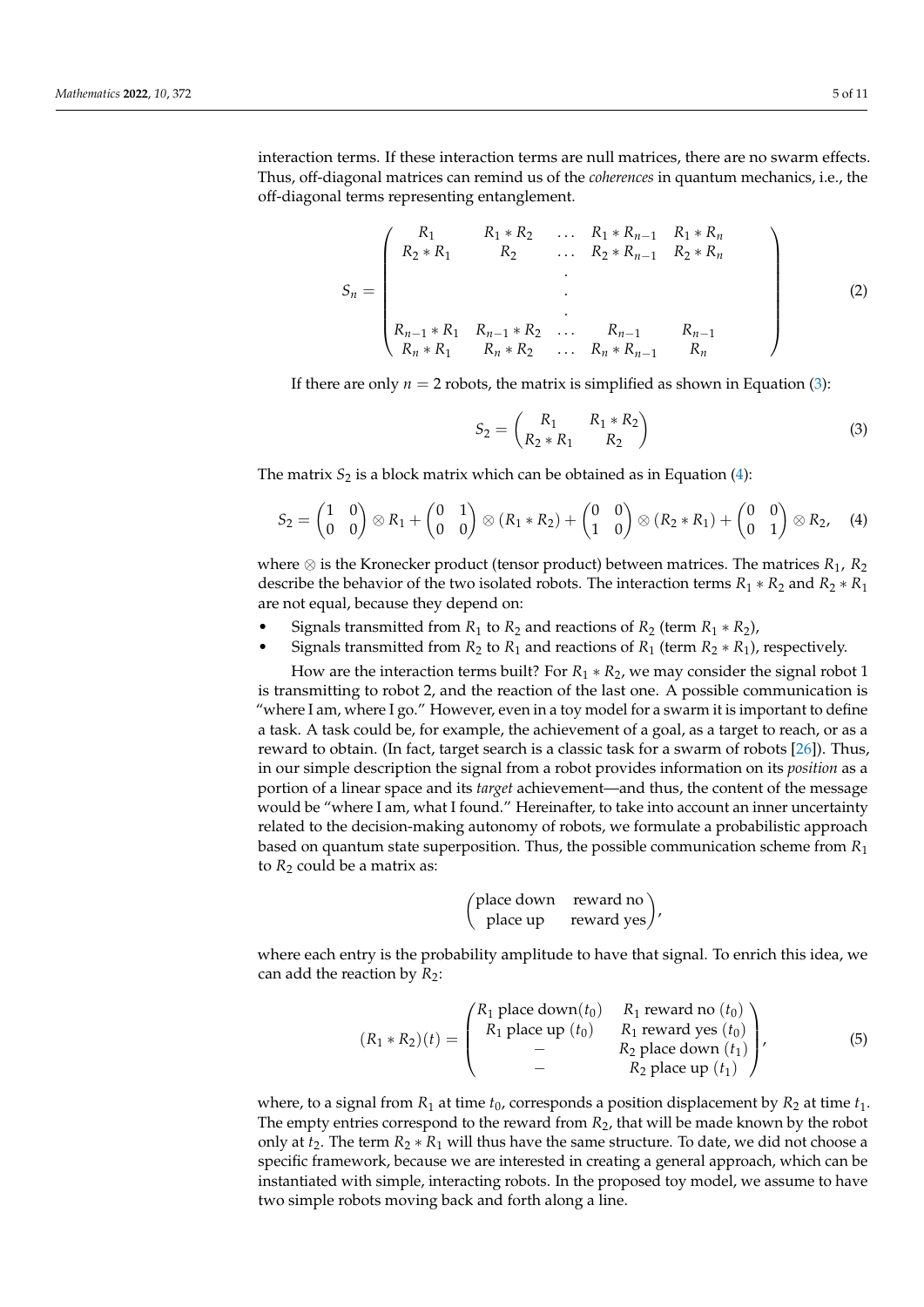interaction terms. If these interaction terms are null matrices, there are no swarm effects. Thus, off-diagonal matrices can remind us of the *coherences* in quantum mechanics, i.e., the off-diagonal terms representing entanglement.

<span id="page-4-0"></span>
$$
S_n = \begin{pmatrix} R_1 & R_1 * R_2 & \dots & R_1 * R_{n-1} & R_1 * R_n \\ R_2 * R_1 & R_2 & \dots & R_2 * R_{n-1} & R_2 * R_n \\ & & \ddots & & \\ & & & \ddots & \\ & & & & \ddots & \\ R_{n-1} * R_1 & R_{n-1} * R_2 & \dots & R_{n-1} & R_{n-1} \\ R_n * R_1 & R_n * R_2 & \dots & R_n * R_{n-1} & R_n \end{pmatrix}
$$
(2)

If there are only  $n = 2$  robots, the matrix is simplified as shown in Equation [\(3\)](#page-4-1):

<span id="page-4-1"></span>
$$
S_2 = \begin{pmatrix} R_1 & R_1 * R_2 \\ R_2 * R_1 & R_2 \end{pmatrix}
$$
 (3)

The matrix  $S_2$  is a block matrix which can be obtained as in Equation  $(4)$ :

<span id="page-4-2"></span>
$$
S_2=\begin{pmatrix}1&0\\0&0\end{pmatrix}\otimes R_1+\begin{pmatrix}0&1\\0&0\end{pmatrix}\otimes (R_1 * R_2)+\begin{pmatrix}0&0\\1&0\end{pmatrix}\otimes (R_2 * R_1)+\begin{pmatrix}0&0\\0&1\end{pmatrix}\otimes R_2, \quad (4)
$$

where ⊗ is the Kronecker product (tensor product) between matrices. The matrices *R*1, *R*<sup>2</sup> describe the behavior of the two isolated robots. The interaction terms  $R_1 * R_2$  and  $R_2 * R_1$ are not equal, because they depend on:

- Signals transmitted from  $R_1$  to  $R_2$  and reactions of  $R_2$  (term  $R_1 * R_2$ ),
- Signals transmitted from  $R_2$  to  $R_1$  and reactions of  $R_1$  (term  $R_2 * R_1$ ), respectively.

How are the interaction terms built? For *R*<sup>1</sup> ∗ *R*2, we may consider the signal robot 1 is transmitting to robot 2, and the reaction of the last one. A possible communication is "where I am, where I go." However, even in a toy model for a swarm it is important to define a task. A task could be, for example, the achievement of a goal, as a target to reach, or as a reward to obtain. (In fact, target search is a classic task for a swarm of robots [\[26\]](#page-10-10)). Thus, in our simple description the signal from a robot provides information on its *position* as a portion of a linear space and its *target* achievement—and thus, the content of the message would be "where I am, what I found." Hereinafter, to take into account an inner uncertainty related to the decision-making autonomy of robots, we formulate a probabilistic approach based on quantum state superposition. Thus, the possible communication scheme from *R*<sup>1</sup> to  $R_2$  could be a matrix as:

$$
\begin{pmatrix}\n\text{place down} & \text{reward no} \\
\text{place up} & \text{reward yes}\n\end{pmatrix},
$$

where each entry is the probability amplitude to have that signal. To enrich this idea, we can add the reaction by  $R_2$ :

<span id="page-4-3"></span>
$$
(R_1 * R_2)(t) = \begin{pmatrix} R_1 \text{ place down}(t_0) & R_1 \text{ reward no}(t_0) \\ R_1 \text{ place up}(t_0) & R_1 \text{ reward yes}(t_0) \\ - & R_2 \text{ place down}(t_1) \end{pmatrix},
$$
(5)

where, to a signal from  $R_1$  at time  $t_0$ , corresponds a position displacement by  $R_2$  at time  $t_1$ . The empty entries correspond to the reward from *R*2, that will be made known by the robot only at  $t_2$ . The term  $R_2 * R_1$  will thus have the same structure. To date, we did not choose a specific framework, because we are interested in creating a general approach, which can be instantiated with simple, interacting robots. In the proposed toy model, we assume to have two simple robots moving back and forth along a line.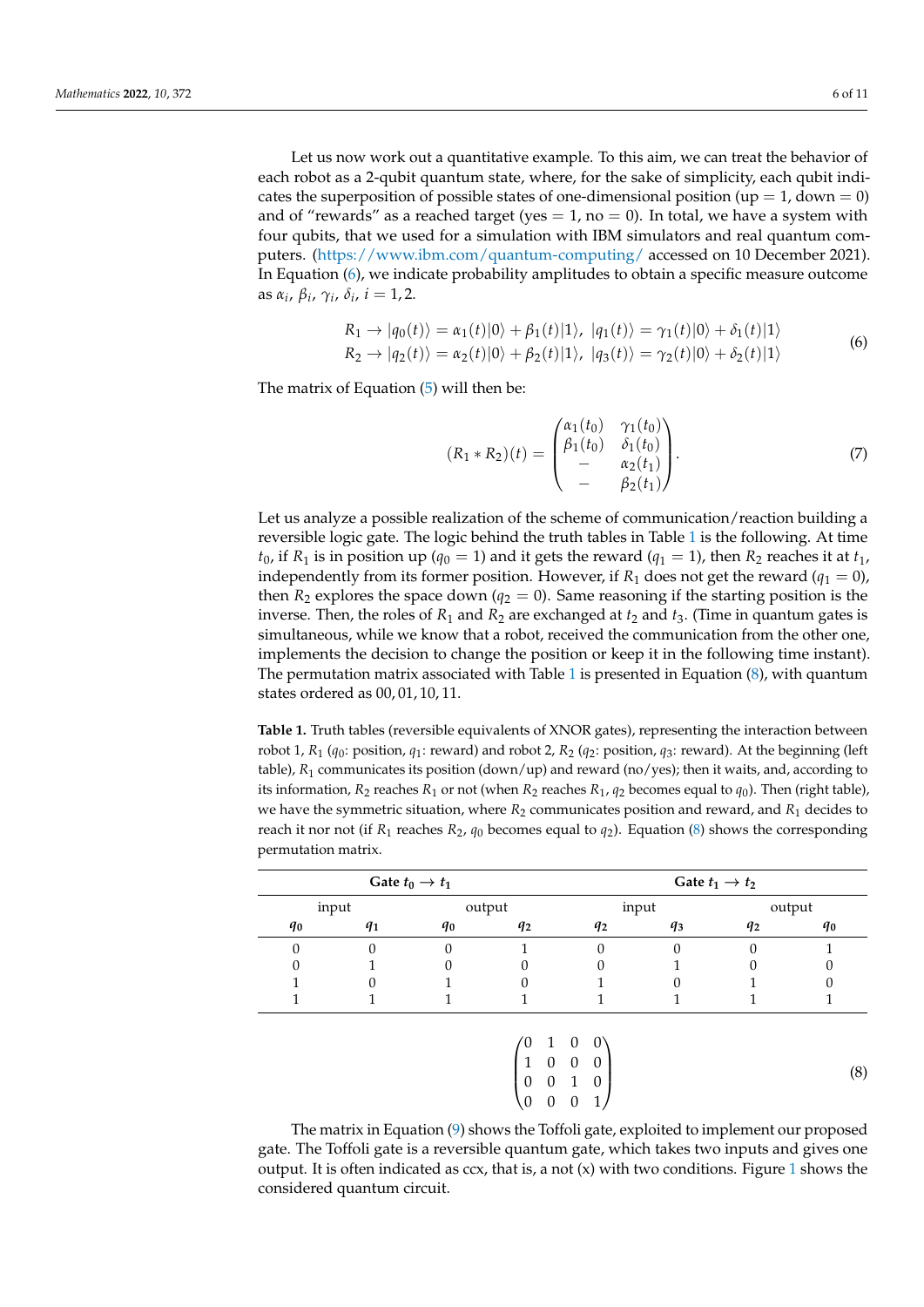Let us now work out a quantitative example. To this aim, we can treat the behavior of each robot as a 2-qubit quantum state, where, for the sake of simplicity, each qubit indicates the superposition of possible states of one-dimensional position (up  $= 1$ , down  $= 0$ ) and of "rewards" as a reached target (yes  $= 1$ , no  $= 0$ ). In total, we have a system with four qubits, that we used for a simulation with IBM simulators and real quantum computers. [\(https://www.ibm.com/quantum-computing/](https://www.ibm.com/quantum-computing/) accessed on 10 December 2021). In Equation [\(6\)](#page-5-1), we indicate probability amplitudes to obtain a specific measure outcome as *α<sup>i</sup>* , *β<sup>i</sup>* , *γ<sup>i</sup>* , *δ<sup>i</sup>* , *i* = 1, 2.

$$
R_1 \rightarrow |q_0(t)\rangle = \alpha_1(t)|0\rangle + \beta_1(t)|1\rangle, \ |q_1(t)\rangle = \gamma_1(t)|0\rangle + \delta_1(t)|1\rangle
$$
  
\n
$$
R_2 \rightarrow |q_2(t)\rangle = \alpha_2(t)|0\rangle + \beta_2(t)|1\rangle, \ |q_3(t)\rangle = \gamma_2(t)|0\rangle + \delta_2(t)|1\rangle
$$
 (6)

<span id="page-5-1"></span>The matrix of Equation [\(5\)](#page-4-3) will then be:

$$
(R_1 * R_2)(t) = \begin{pmatrix} \alpha_1(t_0) & \gamma_1(t_0) \\ \beta_1(t_0) & \delta_1(t_0) \\ - & \alpha_2(t_1) \\ - & \beta_2(t_1) \end{pmatrix}.
$$
 (7)

Let us analyze a possible realization of the scheme of communication/reaction building a reversible logic gate. The logic behind the truth tables in Table [1](#page-5-0) is the following. At time  $t_0$ , if  $R_1$  is in position up ( $q_0 = 1$ ) and it gets the reward ( $q_1 = 1$ ), then  $R_2$  reaches it at  $t_1$ , independently from its former position. However, if  $R_1$  does not get the reward ( $q_1 = 0$ ), then  $R_2$  explores the space down ( $q_2 = 0$ ). Same reasoning if the starting position is the inverse. Then, the roles of  $R_1$  and  $R_2$  are exchanged at  $t_2$  and  $t_3$ . (Time in quantum gates is simultaneous, while we know that a robot, received the communication from the other one, implements the decision to change the position or keep it in the following time instant). The permutation matrix associated with Table [1](#page-5-0) is presented in Equation  $(8)$ , with quantum states ordered as 00, 01, 10, 11.

<span id="page-5-0"></span>**Table 1.** Truth tables (reversible equivalents of XNOR gates), representing the interaction between robot 1, *R*<sup>1</sup> (*q*0: position, *q*<sup>1</sup> : reward) and robot 2, *R*<sup>2</sup> (*q*2: position, *q*3: reward). At the beginning (left table),  $R_1$  communicates its position (down/up) and reward (no/yes); then it waits, and, according to its information,  $R_2$  reaches  $R_1$  or not (when  $R_2$  reaches  $R_1$ ,  $q_2$  becomes equal to  $q_0$ ). Then (right table), we have the symmetric situation, where  $R_2$  communicates position and reward, and  $R_1$  decides to reach it nor not (if  $R_1$  reaches  $R_2$ ,  $q_0$  becomes equal to  $q_2$ ). Equation [\(8\)](#page-5-2) shows the corresponding permutation matrix.

|                | Gate $t_0 \rightarrow t_1$ |       |                |       | Gate $t_1 \rightarrow t_2$ |                |                |  |
|----------------|----------------------------|-------|----------------|-------|----------------------------|----------------|----------------|--|
|                | input                      |       | output         |       | input                      |                | output         |  |
| q <sub>0</sub> | $q_1$                      | $q_0$ | q <sub>2</sub> | $q_2$ | q <sub>3</sub>             | q <sub>2</sub> | q <sub>0</sub> |  |
| 0              |                            |       |                |       |                            |                |                |  |
|                |                            |       |                |       |                            |                |                |  |
|                |                            |       |                |       |                            |                |                |  |
|                |                            |       |                |       |                            |                |                |  |
|                |                            |       |                |       |                            |                |                |  |

<span id="page-5-2"></span>
$$
\begin{pmatrix}\n0 & 1 & 0 & 0 \\
1 & 0 & 0 & 0 \\
0 & 0 & 1 & 0 \\
0 & 0 & 0 & 1\n\end{pmatrix}
$$
\n(8)

The matrix in Equation [\(9\)](#page-6-0) shows the Toffoli gate, exploited to implement our proposed gate. The Toffoli gate is a reversible quantum gate, which takes two inputs and gives one output. It is often indicated as  $ccx$ , that is, a not  $(x)$  with two conditions. Figure [1](#page-6-1) shows the considered quantum circuit.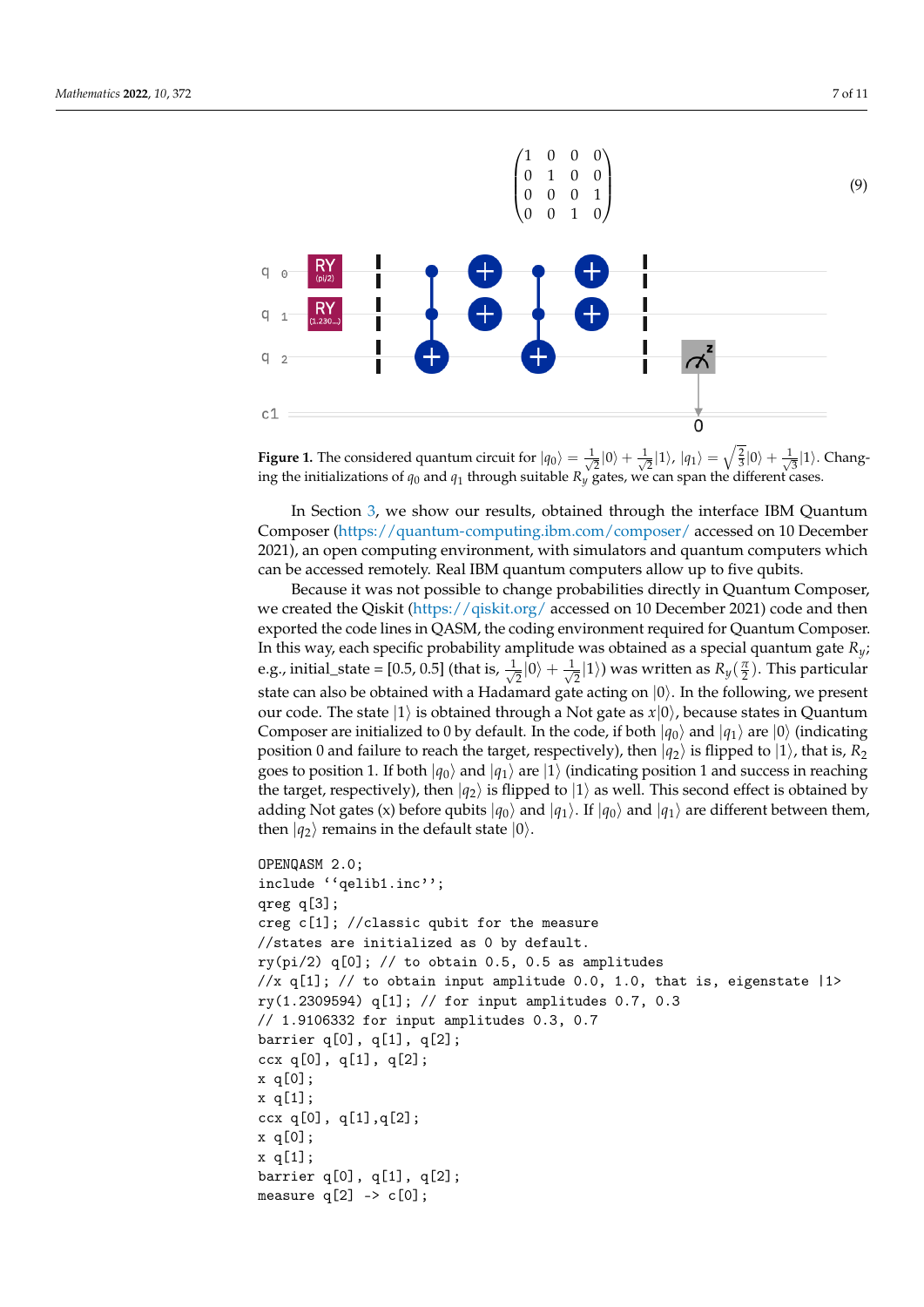<span id="page-6-1"></span><span id="page-6-0"></span>

**Figure 1.** The considered quantum circuit for  $|q_0\rangle = \frac{1}{\sqrt{2}}$  $\frac{1}{2}|0\rangle + \frac{1}{\sqrt{2}}$  $\frac{1}{2}$ |1}, | $\ket{q_1} = \sqrt{\frac{2}{3}} \ket{0} + \frac{1}{\sqrt{3}}$  $\frac{1}{3}|1\rangle$ . Changing the initializations of  $q_0$  and  $q_1$  through suitable  $R_y$  gates, we can span the different cases.

In Section [3,](#page-7-0) we show our results, obtained through the interface IBM Quantum Composer [\(https://quantum-computing.ibm.com/composer/](https://quantum-computing.ibm.com/composer/) accessed on 10 December 2021), an open computing environment, with simulators and quantum computers which can be accessed remotely. Real IBM quantum computers allow up to five qubits.

Because it was not possible to change probabilities directly in Quantum Composer, we created the Qiskit [\(https://qiskit.org/](https://qiskit.org/) accessed on 10 December 2021) code and then exported the code lines in QASM, the coding environment required for Quantum Composer. In this way, each specific probability amplitude was obtained as a special quantum gate *Ry*; e.g., initial\_state = [0.5, 0.5] (that is,  $\frac{1}{\sqrt{2}}$  $\frac{1}{2}|0\rangle + \frac{1}{\sqrt{2}}$  $\mathbb{E}_{\overline{2}}|1\rangle$ ) was written as  $R_{y}(\frac{\pi}{2})$ . This particular state can also be obtained with a Hadamard gate acting on  $|0\rangle$ . In the following, we present our code. The state  $|1\rangle$  is obtained through a Not gate as  $x|0\rangle$ , because states in Quantum Composer are initialized to 0 by default. In the code, if both  $|q_0\rangle$  and  $|q_1\rangle$  are  $|0\rangle$  (indicating position 0 and failure to reach the target, respectively), then  $|q_2\rangle$  is flipped to  $|1\rangle$ , that is,  $R_2$ goes to position 1. If both  $|q_0\rangle$  and  $|q_1\rangle$  are  $|1\rangle$  (indicating position 1 and success in reaching the target, respectively), then  $|q_2\rangle$  is flipped to  $|1\rangle$  as well. This second effect is obtained by adding Not gates (x) before qubits  $|q_0\rangle$  and  $|q_1\rangle$ . If  $|q_0\rangle$  and  $|q_1\rangle$  are different between them, then  $|q_2\rangle$  remains in the default state  $|0\rangle$ .

```
OPENQASM 2.0;
include ''qelib1.inc'';
qreg q[3];
creg c[1]; //classic qubit for the measure
//states are initialized as 0 by default.
ry(pi/2) q[0]; // to obtain 0.5, 0.5 as amplitudes
//x q[1]; // to obtain input amplitude 0.0, 1.0, that is, eigenstate |1\ranglery(1.2309594) q[1]; // for input amplitudes 0.7, 0.3
// 1.9106332 for input amplitudes 0.3, 0.7
barrier q[0], q[1], q[2];
ccx q[0], q[1], q[2];
x q[0];
x q[1];
ccx q[0], q[1], q[2];
x q[0];
x q[1];
barrier q[0], q[1], q[2];
measure q[2] \rightarrow c[0];
```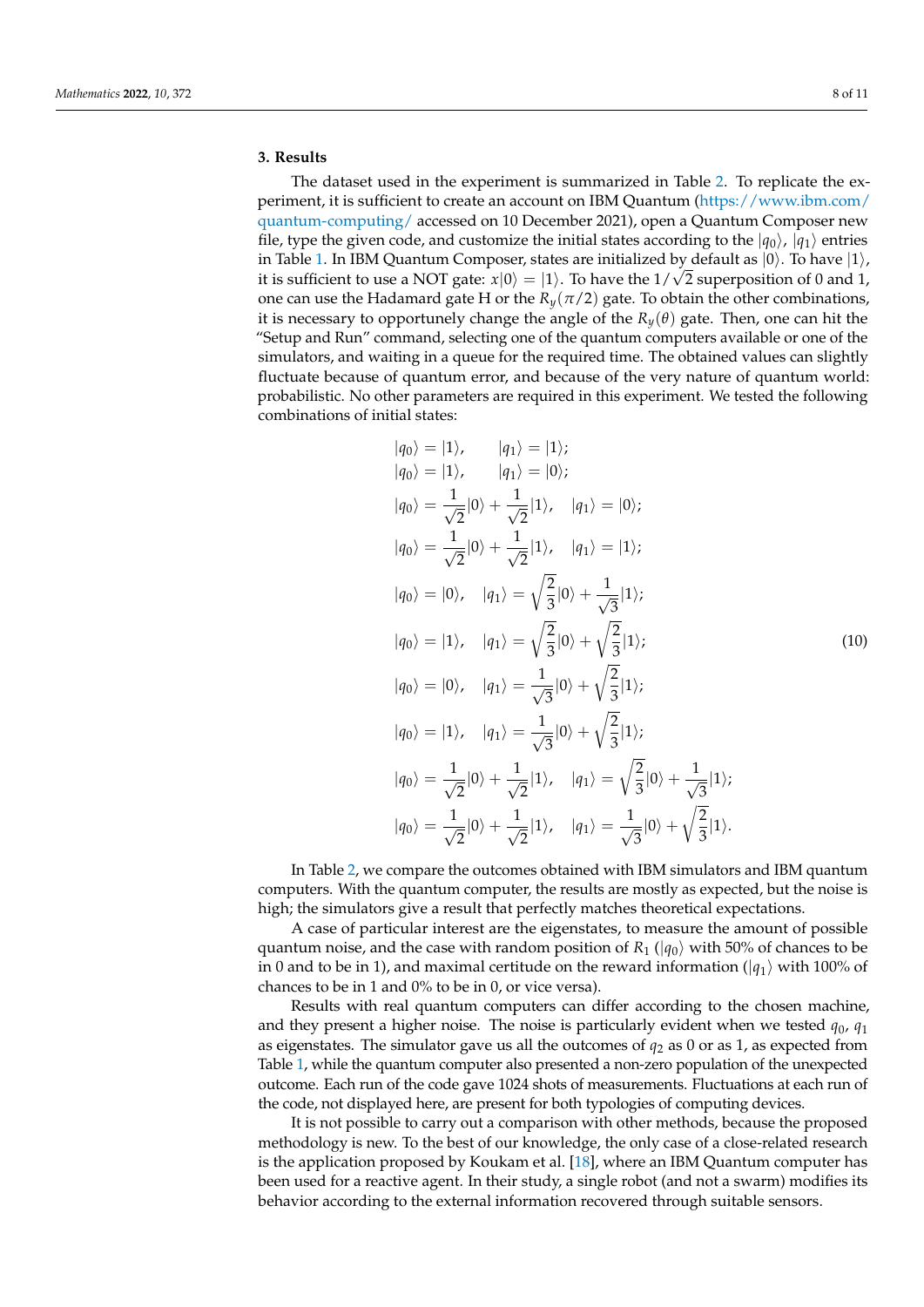# <span id="page-7-0"></span>**3. Results**

The dataset used in the experiment is summarized in Table [2.](#page-8-0) To replicate the experiment, it is sufficient to create an account on IBM Quantum [\(https://www.ibm.com/](https://www.ibm.com/quantum-computing/) [quantum-computing/](https://www.ibm.com/quantum-computing/) accessed on 10 December 2021), open a Quantum Composer new file, type the given code, and customize the initial states according to the  $|q_0\rangle$ ,  $|q_1\rangle$  entries in Table [1.](#page-5-0) In IBM Quantum Composer, states are initialized by default as  $|0\rangle$ . To have  $|1\rangle$ , it is sufficient to use a NOT gate:  $x|0\rangle=|1\rangle.$  To have the  $1/\sqrt{2}$  superposition of  $0$  and  $1,$ one can use the Hadamard gate H or the  $R_\nu(\pi/2)$  gate. To obtain the other combinations, it is necessary to opportunely change the angle of the  $R_y(\theta)$  gate. Then, one can hit the "Setup and Run" command, selecting one of the quantum computers available or one of the simulators, and waiting in a queue for the required time. The obtained values can slightly fluctuate because of quantum error, and because of the very nature of quantum world: probabilistic. No other parameters are required in this experiment. We tested the following combinations of initial states:

$$
|q_{0}\rangle = |1\rangle, \t |q_{1}\rangle = |1\rangle;
$$
  
\n
$$
|q_{0}\rangle = |1\rangle, \t |q_{1}\rangle = |0\rangle;
$$
  
\n
$$
|q_{0}\rangle = \frac{1}{\sqrt{2}}|0\rangle + \frac{1}{\sqrt{2}}|1\rangle, \t |q_{1}\rangle = |0\rangle;
$$
  
\n
$$
|q_{0}\rangle = \frac{1}{\sqrt{2}}|0\rangle + \frac{1}{\sqrt{2}}|1\rangle, \t |q_{1}\rangle = |1\rangle;
$$
  
\n
$$
|q_{0}\rangle = |0\rangle, \t |q_{1}\rangle = \sqrt{\frac{2}{3}}|0\rangle + \frac{1}{\sqrt{3}}|1\rangle;
$$
  
\n
$$
|q_{0}\rangle = |1\rangle, \t |q_{1}\rangle = \sqrt{\frac{2}{3}}|0\rangle + \sqrt{\frac{2}{3}}|1\rangle;
$$
  
\n
$$
|q_{0}\rangle = |0\rangle, \t |q_{1}\rangle = \frac{1}{\sqrt{3}}|0\rangle + \sqrt{\frac{2}{3}}|1\rangle;
$$
  
\n
$$
|q_{0}\rangle = |1\rangle, \t |q_{1}\rangle = \frac{1}{\sqrt{3}}|0\rangle + \sqrt{\frac{2}{3}}|1\rangle;
$$
  
\n
$$
|q_{0}\rangle = \frac{1}{\sqrt{2}}|0\rangle + \frac{1}{\sqrt{2}}|1\rangle, \t |q_{1}\rangle = \sqrt{\frac{2}{3}}|0\rangle + \frac{1}{\sqrt{3}}|1\rangle;
$$
  
\n
$$
|q_{0}\rangle = \frac{1}{\sqrt{2}}|0\rangle + \frac{1}{\sqrt{2}}|1\rangle, \t |q_{1}\rangle = \sqrt{\frac{2}{3}}|0\rangle + \sqrt{\frac{2}{3}}|1\rangle.
$$

In Table [2,](#page-8-0) we compare the outcomes obtained with IBM simulators and IBM quantum computers. With the quantum computer, the results are mostly as expected, but the noise is high; the simulators give a result that perfectly matches theoretical expectations.

A case of particular interest are the eigenstates, to measure the amount of possible quantum noise, and the case with random position of  $R_1$  ( $|q_0\rangle$  with 50% of chances to be in 0 and to be in 1), and maximal certitude on the reward information ( $|q_1\rangle$  with 100% of chances to be in 1 and 0% to be in 0, or vice versa).

Results with real quantum computers can differ according to the chosen machine, and they present a higher noise. The noise is particularly evident when we tested  $q_0$ ,  $q_1$ as eigenstates. The simulator gave us all the outcomes of *q*<sup>2</sup> as 0 or as 1, as expected from Table [1,](#page-5-0) while the quantum computer also presented a non-zero population of the unexpected outcome. Each run of the code gave 1024 shots of measurements. Fluctuations at each run of the code, not displayed here, are present for both typologies of computing devices.

It is not possible to carry out a comparison with other methods, because the proposed methodology is new. To the best of our knowledge, the only case of a close-related research is the application proposed by Koukam et al. [\[18\]](#page-10-2), where an IBM Quantum computer has been used for a reactive agent. In their study, a single robot (and not a swarm) modifies its behavior according to the external information recovered through suitable sensors.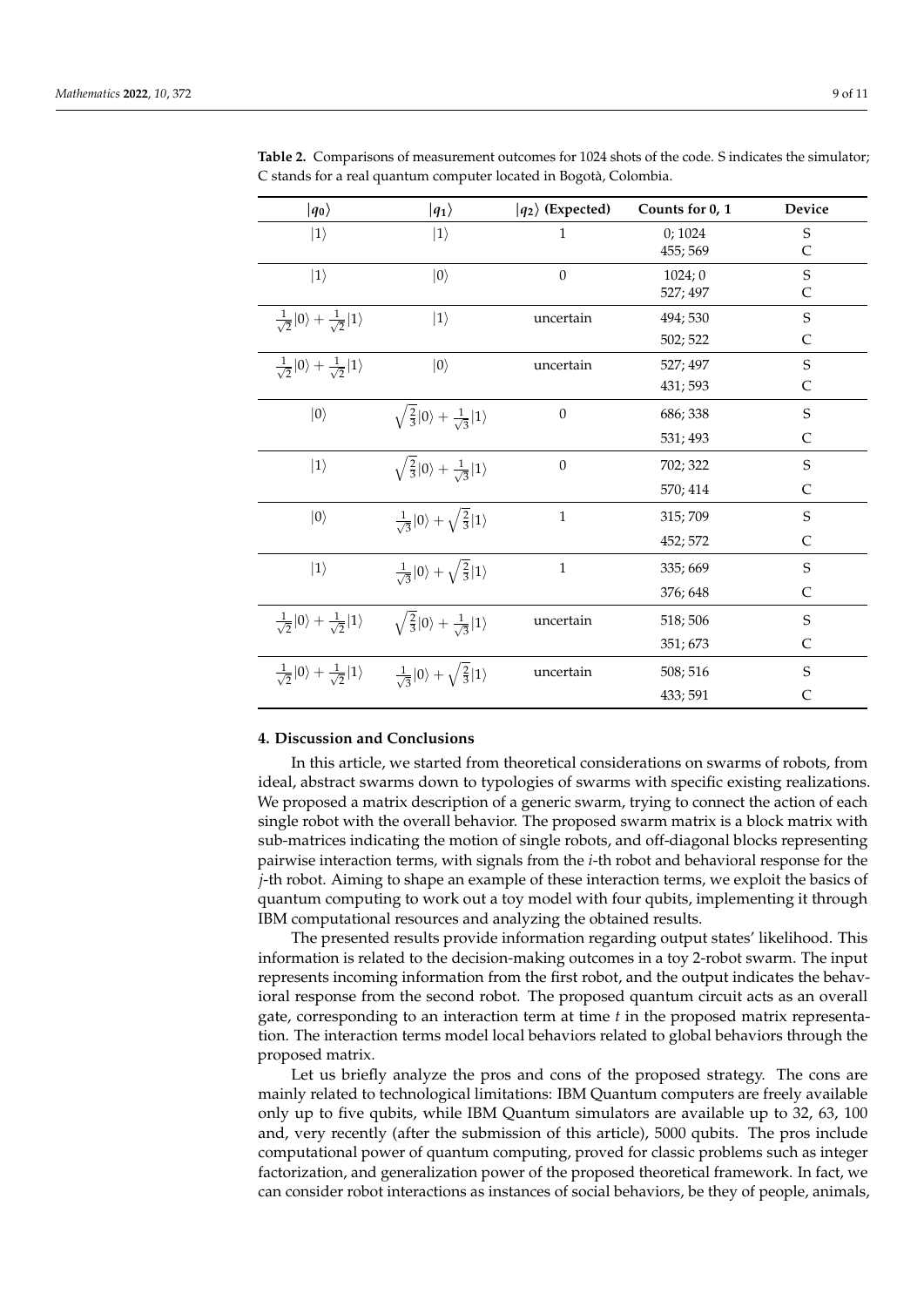| $ q_0\rangle$                                               | $ q_1\rangle$                                               | $ q_2\rangle$ (Expected) | Counts for 0, 1    | Device           |
|-------------------------------------------------------------|-------------------------------------------------------------|--------------------------|--------------------|------------------|
| $ 1\rangle$                                                 | $ 1\rangle$                                                 | $\mathbf{1}$             | 0;1024<br>455; 569 | $\mathbf S$<br>C |
| $ 1\rangle$                                                 | $ 0\rangle$                                                 | $\mathbf{0}$             | 1024;0<br>527; 497 | $\mathbf S$<br>C |
| $\frac{1}{\sqrt{2}} 0\rangle + \frac{1}{\sqrt{2}} 1\rangle$ | $ 1\rangle$                                                 | uncertain                | 494; 530           | $\mathbf S$      |
|                                                             |                                                             |                          | 502; 522           | C                |
| $\frac{1}{\sqrt{2}} 0\rangle + \frac{1}{\sqrt{2}} 1\rangle$ | $ 0\rangle$                                                 | uncertain                | 527; 497           | $\mathbf S$      |
|                                                             |                                                             |                          | 431; 593           | $\mathsf{C}$     |
| $ 0\rangle$                                                 | $\sqrt{\frac{2}{3}} 0\rangle + \frac{1}{\sqrt{3}} 1\rangle$ | $\boldsymbol{0}$         | 686; 338           | $\mathbf S$      |
|                                                             |                                                             |                          | 531; 493           | C                |
| $ 1\rangle$                                                 | $\sqrt{\frac{2}{3}} 0\rangle + \frac{1}{\sqrt{3}} 1\rangle$ | $\mathbf{0}$             | 702; 322           | $\mathbf S$      |
|                                                             |                                                             |                          | 570; 414           | $\mathsf{C}$     |
| $ 0\rangle$                                                 | $\frac{1}{\sqrt{3}} 0\rangle + \sqrt{\frac{2}{3}} 1\rangle$ | $\mathbf{1}$             | 315; 709           | S                |
|                                                             |                                                             |                          | 452; 572           | C                |
| $ 1\rangle$                                                 | $\frac{1}{\sqrt{3}} 0\rangle + \sqrt{\frac{2}{3}} 1\rangle$ | $\mathbf{1}$             | 335; 669           | S                |
|                                                             |                                                             |                          | 376; 648           | C                |
| $\frac{1}{\sqrt{2}} 0\rangle + \frac{1}{\sqrt{2}} 1\rangle$ | $\sqrt{\frac{2}{3}} 0\rangle + \frac{1}{\sqrt{3}} 1\rangle$ | uncertain                | 518; 506           | $\mathbf S$      |
|                                                             |                                                             |                          | 351; 673           | C                |
| $\frac{1}{\sqrt{2}} 0\rangle + \frac{1}{\sqrt{2}} 1\rangle$ | $\frac{1}{\sqrt{3}} 0\rangle + \sqrt{\frac{2}{3}} 1\rangle$ | uncertain                | 508; 516           | $\mathbf S$      |
|                                                             |                                                             |                          | 433; 591           | C                |

<span id="page-8-0"></span>**Table 2.** Comparisons of measurement outcomes for 1024 shots of the code. S indicates the simulator; C stands for a real quantum computer located in Bogotà, Colombia.

# <span id="page-8-1"></span>**4. Discussion and Conclusions**

In this article, we started from theoretical considerations on swarms of robots, from ideal, abstract swarms down to typologies of swarms with specific existing realizations. We proposed a matrix description of a generic swarm, trying to connect the action of each single robot with the overall behavior. The proposed swarm matrix is a block matrix with sub-matrices indicating the motion of single robots, and off-diagonal blocks representing pairwise interaction terms, with signals from the *i*-th robot and behavioral response for the *j*-th robot. Aiming to shape an example of these interaction terms, we exploit the basics of quantum computing to work out a toy model with four qubits, implementing it through IBM computational resources and analyzing the obtained results.

The presented results provide information regarding output states' likelihood. This information is related to the decision-making outcomes in a toy 2-robot swarm. The input represents incoming information from the first robot, and the output indicates the behavioral response from the second robot. The proposed quantum circuit acts as an overall gate, corresponding to an interaction term at time *t* in the proposed matrix representation. The interaction terms model local behaviors related to global behaviors through the proposed matrix.

Let us briefly analyze the pros and cons of the proposed strategy. The cons are mainly related to technological limitations: IBM Quantum computers are freely available only up to five qubits, while IBM Quantum simulators are available up to 32, 63, 100 and, very recently (after the submission of this article), 5000 qubits. The pros include computational power of quantum computing, proved for classic problems such as integer factorization, and generalization power of the proposed theoretical framework. In fact, we can consider robot interactions as instances of social behaviors, be they of people, animals,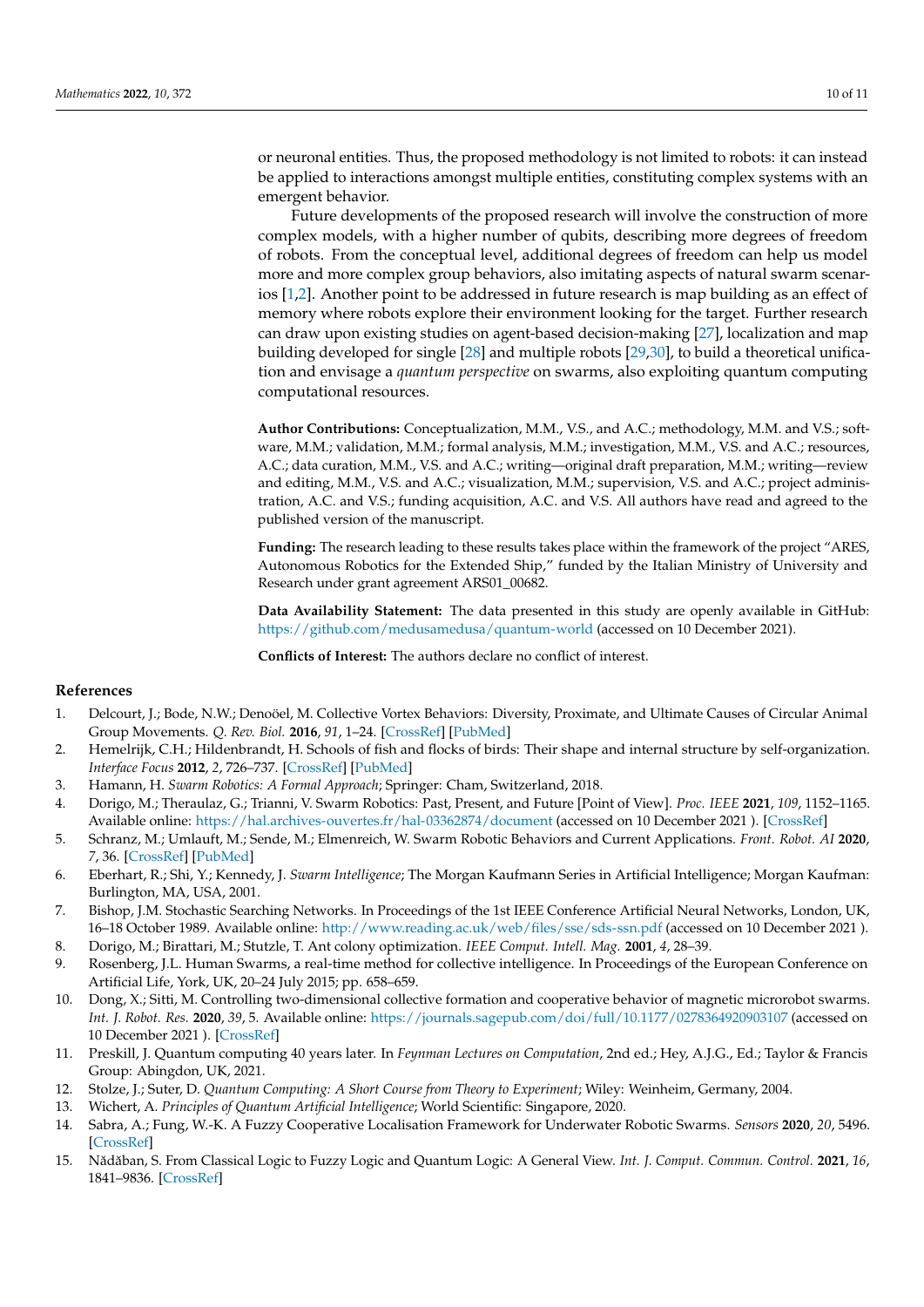or neuronal entities. Thus, the proposed methodology is not limited to robots: it can instead be applied to interactions amongst multiple entities, constituting complex systems with an emergent behavior.

Future developments of the proposed research will involve the construction of more complex models, with a higher number of qubits, describing more degrees of freedom of robots. From the conceptual level, additional degrees of freedom can help us model more and more complex group behaviors, also imitating aspects of natural swarm scenarios [\[1,](#page-9-0)[2\]](#page-9-1). Another point to be addressed in future research is map building as an effect of memory where robots explore their environment looking for the target. Further research can draw upon existing studies on agent-based decision-making [\[27\]](#page-10-11), localization and map building developed for single [\[28\]](#page-10-12) and multiple robots [\[29,](#page-10-13)[30\]](#page-10-14), to build a theoretical unification and envisage a *quantum perspective* on swarms, also exploiting quantum computing computational resources.

**Author Contributions:** Conceptualization, M.M., V.S., and A.C.; methodology, M.M. and V.S.; software, M.M.; validation, M.M.; formal analysis, M.M.; investigation, M.M., V.S. and A.C.; resources, A.C.; data curation, M.M., V.S. and A.C.; writing—original draft preparation, M.M.; writing—review and editing, M.M., V.S. and A.C.; visualization, M.M.; supervision, V.S. and A.C.; project administration, A.C. and V.S.; funding acquisition, A.C. and V.S. All authors have read and agreed to the published version of the manuscript.

**Funding:** The research leading to these results takes place within the framework of the project "ARES, Autonomous Robotics for the Extended Ship," funded by the Italian Ministry of University and Research under grant agreement ARS01\_00682.

**Data Availability Statement:** The data presented in this study are openly available in GitHub: <https://github.com/medusamedusa/quantum-world> (accessed on 10 December 2021).

**Conflicts of Interest:** The authors declare no conflict of interest.

### **References**

- <span id="page-9-0"></span>1. Delcourt, J.; Bode, N.W.; Denoöel, M. Collective Vortex Behaviors: Diversity, Proximate, and Ultimate Causes of Circular Animal Group Movements. *Q. Rev. Biol.* **2016**, *91*, 1–24. [\[CrossRef\]](http://doi.org/10.1086/685301) [\[PubMed\]](http://www.ncbi.nlm.nih.gov/pubmed/27192777)
- <span id="page-9-1"></span>2. Hemelrijk, C.H.; Hildenbrandt, H. Schools of fish and flocks of birds: Their shape and internal structure by self-organization. *Interface Focus* **2012**, *2*, 726–737. [\[CrossRef\]](http://dx.doi.org/10.1098/rsfs.2012.0025) [\[PubMed\]](http://www.ncbi.nlm.nih.gov/pubmed/24312726)
- <span id="page-9-2"></span>3. Hamann, H. *Swarm Robotics: A Formal Approach*; Springer: Cham, Switzerland, 2018.
- <span id="page-9-14"></span>4. Dorigo, M.; Theraulaz, G.; Trianni, V. Swarm Robotics: Past, Present, and Future [Point of View]. *Proc. IEEE* **2021**, *109*, 1152–1165. Available online: <https://hal.archives-ouvertes.fr/hal-03362874/document> (accessed on 10 December 2021 ). [\[CrossRef\]](http://dx.doi.org/10.1109/JPROC.2021.3072740)
- <span id="page-9-3"></span>5. Schranz, M.; Umlauft, M.; Sende, M.; Elmenreich, W. Swarm Robotic Behaviors and Current Applications. *Front. Robot. AI* **2020**, *7*, 36. [\[CrossRef\]](http://dx.doi.org/10.3389/frobt.2020.00036) [\[PubMed\]](http://www.ncbi.nlm.nih.gov/pubmed/33501204)
- <span id="page-9-4"></span>6. Eberhart, R.; Shi, Y.; Kennedy, J. *Swarm Intelligence*; The Morgan Kaufmann Series in Artificial Intelligence; Morgan Kaufman: Burlington, MA, USA, 2001.
- <span id="page-9-5"></span>7. Bishop, J.M. Stochastic Searching Networks. In Proceedings of the 1st IEEE Conference Artificial Neural Networks, London, UK, 16–18 October 1989. Available online: <http://www.reading.ac.uk/web/files/sse/sds-ssn.pdf> (accessed on 10 December 2021 ).
- <span id="page-9-6"></span>8. Dorigo, M.; Birattari, M.; Stutzle, T. Ant colony optimization. *IEEE Comput. Intell. Mag.* **2001**, *4*, 28–39.
- <span id="page-9-7"></span>9. Rosenberg, J.L. Human Swarms, a real-time method for collective intelligence. In Proceedings of the European Conference on Artificial Life, York, UK, 20–24 July 2015; pp. 658–659.
- <span id="page-9-8"></span>10. Dong, X.; Sitti, M. Controlling two-dimensional collective formation and cooperative behavior of magnetic microrobot swarms. *Int. J. Robot. Res.* **2020**, *39*, 5. Available online: [https://journals.sagepub.com/doi/full/10.1177/0278364920903107]( https://journals.sagepub.com/doi/full/10.1177/0278364920903107) (accessed on 10 December 2021 ). [\[CrossRef\]](http://dx.doi.org/10.1177/0278364920903107)
- <span id="page-9-9"></span>11. Preskill, J. Quantum computing 40 years later. In *Feynman Lectures on Computation*, 2nd ed.; Hey, A.J.G., Ed.; Taylor & Francis Group: Abingdon, UK, 2021.
- <span id="page-9-10"></span>12. Stolze, J.; Suter, D. *Quantum Computing: A Short Course from Theory to Experiment*; Wiley: Weinheim, Germany, 2004.
- <span id="page-9-11"></span>13. Wichert, A. *Principles of Quantum Artificial Intelligence*; World Scientific: Singapore, 2020.
- <span id="page-9-12"></span>14. Sabra, A.; Fung, W.-K. A Fuzzy Cooperative Localisation Framework for Underwater Robotic Swarms. *Sensors* **2020**, *20*, 5496. [\[CrossRef\]](http://dx.doi.org/10.3390/s20195496)
- <span id="page-9-13"></span>15. Nădăban, S. From Classical Logic to Fuzzy Logic and Quantum Logic: A General View. *Int. J. Comput. Commun. Control.* 2021, 16, 1841–9836. [\[CrossRef\]](http://dx.doi.org/10.15837/ijccc.2021.1.4125)